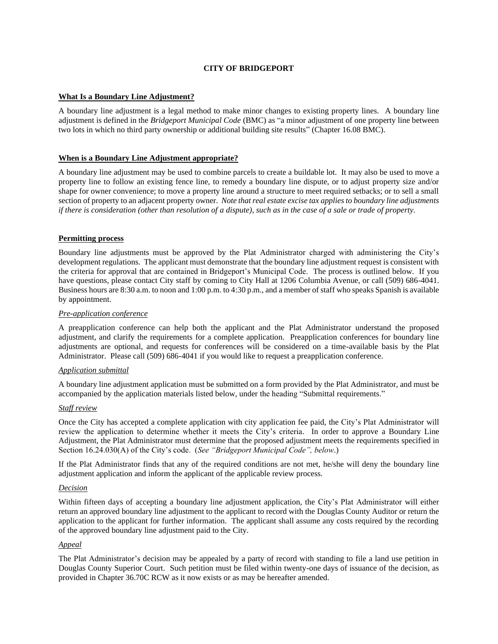# **CITY OF BRIDGEPORT**

### **What Is a Boundary Line Adjustment?**

A boundary line adjustment is a legal method to make minor changes to existing property lines. A boundary line adjustment is defined in the *Bridgeport Municipal Code* (BMC) as "a minor adjustment of one property line between two lots in which no third party ownership or additional building site results" (Chapter 16.08 BMC).

### **When is a Boundary Line Adjustment appropriate?**

A boundary line adjustment may be used to combine parcels to create a buildable lot. It may also be used to move a property line to follow an existing fence line, to remedy a boundary line dispute, or to adjust property size and/or shape for owner convenience; to move a property line around a structure to meet required setbacks; or to sell a small section of property to an adjacent property owner. *Note that real estate excise tax applies to boundary line adjustments if there is consideration (other than resolution of a dispute), such as in the case of a sale or trade of property.*

### **Permitting process**

Boundary line adjustments must be approved by the Plat Administrator charged with administering the City's development regulations. The applicant must demonstrate that the boundary line adjustment request is consistent with the criteria for approval that are contained in Bridgeport's Municipal Code. The process is outlined below. If you have questions, please contact City staff by coming to City Hall at 1206 Columbia Avenue, or call (509) 686-4041. Business hours are 8:30 a.m. to noon and 1:00 p.m. to 4:30 p.m., and a member of staff who speaks Spanish is available by appointment.

### *Pre-application conference*

A preapplication conference can help both the applicant and the Plat Administrator understand the proposed adjustment, and clarify the requirements for a complete application. Preapplication conferences for boundary line adjustments are optional, and requests for conferences will be considered on a time-available basis by the Plat Administrator. Please call (509) 686-4041 if you would like to request a preapplication conference.

### *Application submittal*

A boundary line adjustment application must be submitted on a form provided by the Plat Administrator, and must be accompanied by the application materials listed below, under the heading "Submittal requirements."

### *Staff review*

Once the City has accepted a complete application with city application fee paid, the City's Plat Administrator will review the application to determine whether it meets the City's criteria. In order to approve a Boundary Line Adjustment, the Plat Administrator must determine that the proposed adjustment meets the requirements specified in Section 16.24.030(A) of the City's code. (*See "Bridgeport Municipal Code", below*.)

If the Plat Administrator finds that any of the required conditions are not met, he/she will deny the boundary line adjustment application and inform the applicant of the applicable review process.

### *Decision*

Within fifteen days of accepting a boundary line adjustment application, the City's Plat Administrator will either return an approved boundary line adjustment to the applicant to record with the Douglas County Auditor or return the application to the applicant for further information. The applicant shall assume any costs required by the recording of the approved boundary line adjustment paid to the City.

### *Appeal*

The Plat Administrator's decision may be appealed by a party of record with standing to file a land use petition in Douglas County Superior Court. Such petition must be filed within twenty-one days of issuance of the decision, as provided in Chapter 36.70C RCW as it now exists or as may be hereafter amended.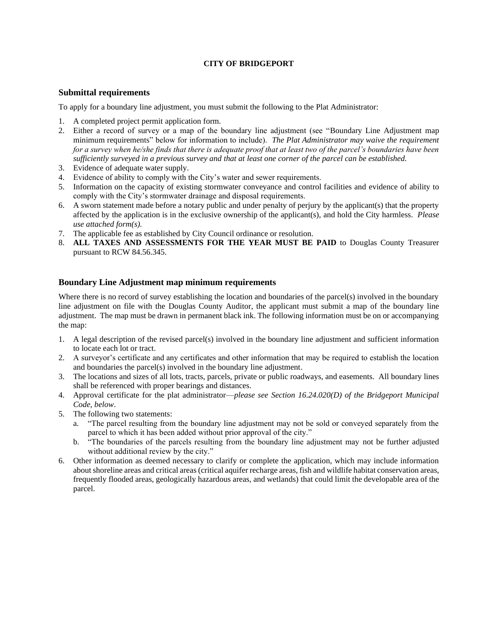# **CITY OF BRIDGEPORT**

# **Submittal requirements**

To apply for a boundary line adjustment, you must submit the following to the Plat Administrator:

- 1. A completed project permit application form.
- 2. Either a record of survey or a map of the boundary line adjustment (see "Boundary Line Adjustment map minimum requirements" below for information to include). *The Plat Administrator may waive the requirement for a survey when he/she finds that there is adequate proof that at least two of the parcel's boundaries have been sufficiently surveyed in a previous survey and that at least one corner of the parcel can be established.*
- 3. Evidence of adequate water supply.
- 4. Evidence of ability to comply with the City's water and sewer requirements.
- 5. Information on the capacity of existing stormwater conveyance and control facilities and evidence of ability to comply with the City's stormwater drainage and disposal requirements.
- 6. A sworn statement made before a notary public and under penalty of perjury by the applicant(s) that the property affected by the application is in the exclusive ownership of the applicant(s), and hold the City harmless. *Please use attached form(s).*
- 7. The applicable fee as established by City Council ordinance or resolution.
- 8. **ALL TAXES AND ASSESSMENTS FOR THE YEAR MUST BE PAID** to Douglas County Treasurer pursuant to RCW 84.56.345.

# **Boundary Line Adjustment map minimum requirements**

Where there is no record of survey establishing the location and boundaries of the parcel(s) involved in the boundary line adjustment on file with the Douglas County Auditor, the applicant must submit a map of the boundary line adjustment. The map must be drawn in permanent black ink. The following information must be on or accompanying the map:

- 1. A legal description of the revised parcel(s) involved in the boundary line adjustment and sufficient information to locate each lot or tract.
- 2. A surveyor's certificate and any certificates and other information that may be required to establish the location and boundaries the parcel(s) involved in the boundary line adjustment.
- 3. The locations and sizes of all lots, tracts, parcels, private or public roadways, and easements. All boundary lines shall be referenced with proper bearings and distances.
- 4. Approval certificate for the plat administrator—*please see Section 16.24.020(D) of the Bridgeport Municipal Code, below*.
- 5. The following two statements:
	- a. "The parcel resulting from the boundary line adjustment may not be sold or conveyed separately from the parcel to which it has been added without prior approval of the city."
	- b. "The boundaries of the parcels resulting from the boundary line adjustment may not be further adjusted without additional review by the city."
- 6. Other information as deemed necessary to clarify or complete the application, which may include information about shoreline areas and critical areas (critical aquifer recharge areas, fish and wildlife habitat conservation areas, frequently flooded areas, geologically hazardous areas, and wetlands) that could limit the developable area of the parcel.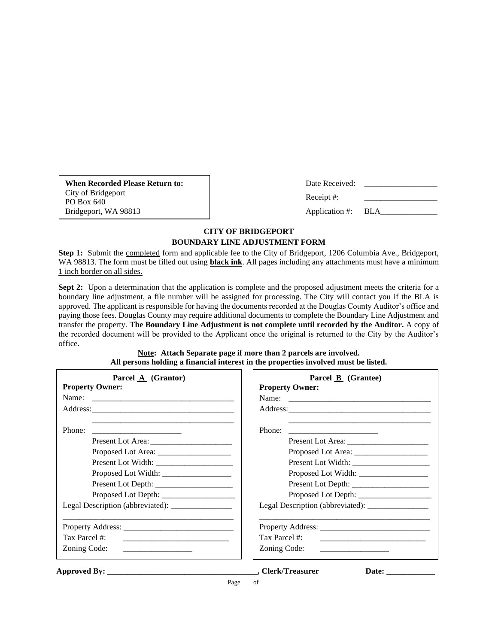**When Recorded Please Return to:** City of Bridgeport PO Box 640 Bridgeport, WA 98813

| Date Received: |            |
|----------------|------------|
| Receipt #:     |            |
| Application #: | <b>BLA</b> |

# **CITY OF BRIDGEPORT BOUNDARY LINE ADJUSTMENT FORM**

**Step 1:** Submit the completed form and applicable fee to the City of Bridgeport, 1206 Columbia Ave., Bridgeport, WA 98813. The form must be filled out using **black ink**. All pages including any attachments must have a minimum 1 inch border on all sides.

**Sept 2:** Upon a determination that the application is complete and the proposed adjustment meets the criteria for a boundary line adjustment, a file number will be assigned for processing. The City will contact you if the BLA is approved. The applicant is responsible for having the documents recorded at the Douglas County Auditor's office and paying those fees. Douglas County may require additional documents to complete the Boundary Line Adjustment and transfer the property. **The Boundary Line Adjustment is not complete until recorded by the Auditor.** A copy of the recorded document will be provided to the Applicant once the original is returned to the City by the Auditor's office.

| Parcel $\mathbf{A}$ (Grantor)                                                   | Parcel B (Grantee)                                                                                              |
|---------------------------------------------------------------------------------|-----------------------------------------------------------------------------------------------------------------|
| <b>Property Owner:</b>                                                          | <b>Property Owner:</b>                                                                                          |
|                                                                                 |                                                                                                                 |
|                                                                                 |                                                                                                                 |
| Phone:<br>Proposed Lot Width:<br>Legal Description (abbreviated): _____________ | Phone:<br><u> 1989 - Johann Barn, mars eta bat erroman e</u><br>Legal Description (abbreviated): ______________ |
|                                                                                 |                                                                                                                 |
| Tax Parcel #:                                                                   | Tax Parcel #:                                                                                                   |
|                                                                                 |                                                                                                                 |
| Zoning Code:                                                                    | Zoning Code:                                                                                                    |
| <u> 1989 - Jan Barbara, manazarta politik (h. 1989)</u>                         |                                                                                                                 |

**Note: Attach Separate page if more than 2 parcels are involved. All persons holding a financial interest in the properties involved must be listed.**

**Approved By: \_\_\_\_\_\_\_\_\_\_\_\_\_\_\_\_\_\_\_\_\_\_\_\_\_\_\_\_\_\_\_\_\_\_\_\_\_, Clerk/Treasurer Date: \_\_\_\_\_\_\_\_\_\_\_\_**

Page  $\_\$  of  $\_\$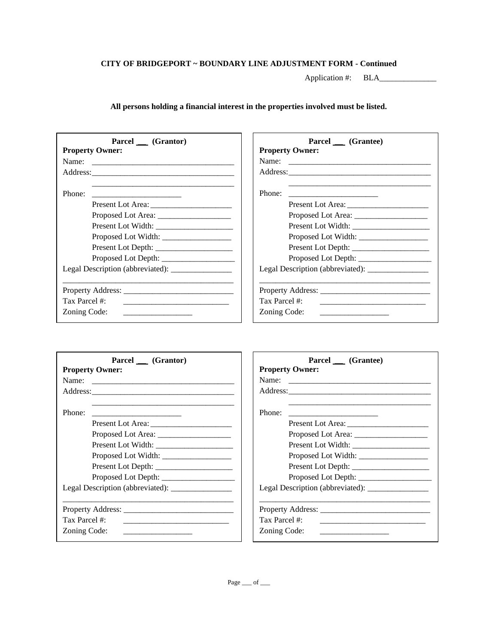Application #: BLA\_\_\_\_\_\_\_\_\_\_\_\_\_\_

**All persons holding a financial interest in the properties involved must be listed.**

| Parcel (Grantor)<br><b>Property Owner:</b>                                                                                          | Parcel (Grantee)<br><b>Property Owner:</b>                                                                                                                                                                                                           |
|-------------------------------------------------------------------------------------------------------------------------------------|------------------------------------------------------------------------------------------------------------------------------------------------------------------------------------------------------------------------------------------------------|
|                                                                                                                                     |                                                                                                                                                                                                                                                      |
|                                                                                                                                     |                                                                                                                                                                                                                                                      |
| Phone:                                                                                                                              | Phone:<br><u> 2008 - Jan James James Barnett, mars and de la partie de la partie de la partie de la partie de la partie de</u>                                                                                                                       |
|                                                                                                                                     |                                                                                                                                                                                                                                                      |
|                                                                                                                                     |                                                                                                                                                                                                                                                      |
|                                                                                                                                     |                                                                                                                                                                                                                                                      |
|                                                                                                                                     |                                                                                                                                                                                                                                                      |
|                                                                                                                                     |                                                                                                                                                                                                                                                      |
|                                                                                                                                     |                                                                                                                                                                                                                                                      |
| Legal Description (abbreviated): ______________                                                                                     |                                                                                                                                                                                                                                                      |
|                                                                                                                                     |                                                                                                                                                                                                                                                      |
|                                                                                                                                     | Tax Parcel #:                                                                                                                                                                                                                                        |
| Zoning Code:<br><u> 1980 - Andrea Albert III, politik eta politik eta politik eta politik eta politik eta politik eta politik e</u> | Zoning Code:<br><u> 1989 - Jan Stern Stern Stern Stern Stern Stern Stern Stern Stern Stern Stern Stern Stern Stern Stern Stern Stern Stern Stern Stern Stern Stern Stern Stern Stern Stern Stern Stern Stern Stern Stern Stern Stern Stern Stern</u> |

| Parcel (Grantor)                             |
|----------------------------------------------|
| <b>Property Owner:</b><br>Name:              |
| <u> 1980 - Jan James Alemania, martin di</u> |
|                                              |
|                                              |
| Phone:                                       |
|                                              |
|                                              |
|                                              |
|                                              |
|                                              |
|                                              |
|                                              |
| Property Address:                            |
| Tax Parcel #:                                |
| Zoning Code:                                 |

| Parcel (Grantee)<br><b>Property Owner:</b>                                                |
|-------------------------------------------------------------------------------------------|
| Name:                                                                                     |
|                                                                                           |
| Phone:<br>the contract of the contract of the contract of the contract of the contract of |
|                                                                                           |
|                                                                                           |
|                                                                                           |
|                                                                                           |
|                                                                                           |
|                                                                                           |
| Legal Description (abbreviated): _______________                                          |
| Tax Parcel #:<br><u> 1980 - John Stein, Amerikaansk politiker (* 1950)</u>                |
| Zoning Code:                                                                              |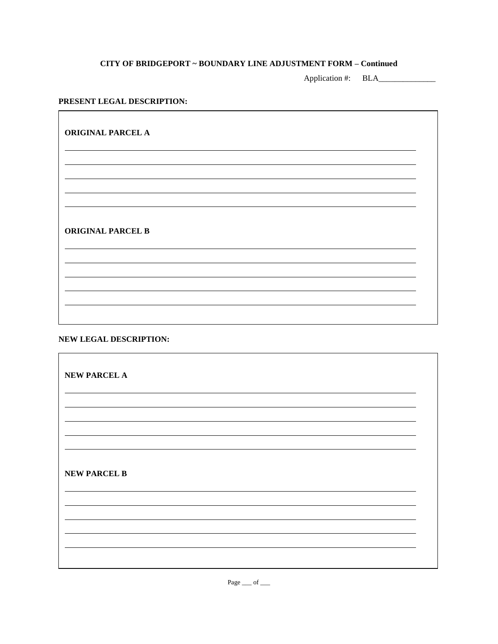Application #: BLA\_\_\_\_\_\_\_\_\_\_\_\_\_\_

### **PRESENT LEGAL DESCRIPTION:**

**ORIGINAL PARCEL A ORIGINAL PARCEL B**

# **NEW LEGAL DESCRIPTION:**

**NEW PARCEL A NEW PARCEL B**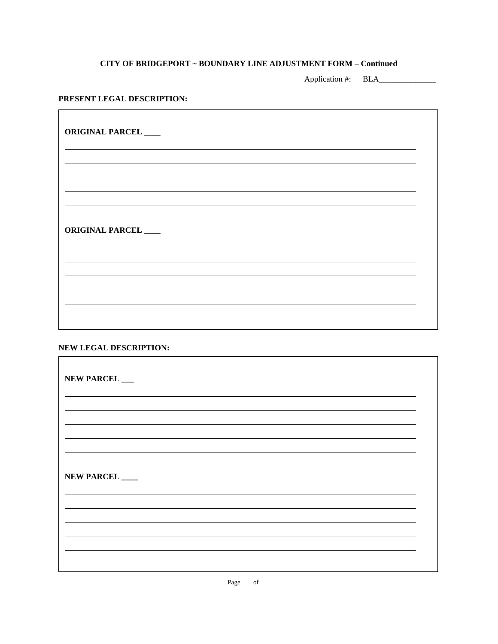Application #: BLA\_\_\_\_\_\_\_\_\_\_\_\_\_\_

# **PRESENT LEGAL DESCRIPTION:**

| ORIGINAL PARCEL        |  |  |
|------------------------|--|--|
|                        |  |  |
|                        |  |  |
| <b>ORIGINAL PARCEL</b> |  |  |
|                        |  |  |
|                        |  |  |
|                        |  |  |

# **NEW LEGAL DESCRIPTION:**

| NEW PARCEL |  |  |
|------------|--|--|
|            |  |  |
|            |  |  |
| NEW PARCEL |  |  |
|            |  |  |
|            |  |  |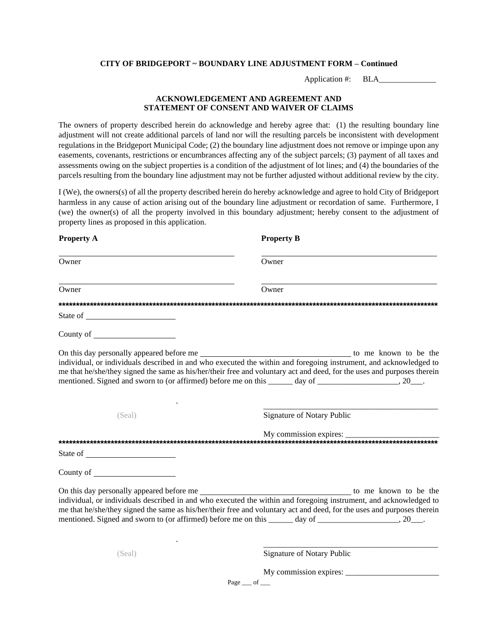Application #: BLA

### **ACKNOWLEDGEMENT AND AGREEMENT AND STATEMENT OF CONSENT AND WAIVER OF CLAIMS**

The owners of property described herein do acknowledge and hereby agree that: (1) the resulting boundary line adjustment will not create additional parcels of land nor will the resulting parcels be inconsistent with development regulations in the Bridgeport Municipal Code; (2) the boundary line adjustment does not remove or impinge upon any easements, covenants, restrictions or encumbrances affecting any of the subject parcels; (3) payment of all taxes and assessments owing on the subject properties is a condition of the adjustment of lot lines; and (4) the boundaries of the parcels resulting from the boundary line adjustment may not be further adjusted without additional review by the city.

I (We), the owners(s) of all the property described herein do hereby acknowledge and agree to hold City of Bridgeport harmless in any cause of action arising out of the boundary line adjustment or recordation of same. Furthermore, I (we) the owner(s) of all the property involved in this boundary adjustment; hereby consent to the adjustment of property lines as proposed in this application.

| <b>Property A</b>                                                                                                                                                                                                              | <b>Property B</b>                                                                                                                                                                                                                                                                                                                                          |
|--------------------------------------------------------------------------------------------------------------------------------------------------------------------------------------------------------------------------------|------------------------------------------------------------------------------------------------------------------------------------------------------------------------------------------------------------------------------------------------------------------------------------------------------------------------------------------------------------|
| Owner                                                                                                                                                                                                                          | Owner                                                                                                                                                                                                                                                                                                                                                      |
| Owner                                                                                                                                                                                                                          | Owner                                                                                                                                                                                                                                                                                                                                                      |
|                                                                                                                                                                                                                                |                                                                                                                                                                                                                                                                                                                                                            |
| State of the state of the state of the state of the state of the state of the state of the state of the state of the state of the state of the state of the state of the state of the state of the state of the state of the s |                                                                                                                                                                                                                                                                                                                                                            |
| County of the country of the country of the country of the country of the country of the country of the country of the country of the country of the country of the country of the country of the country of the country of th |                                                                                                                                                                                                                                                                                                                                                            |
|                                                                                                                                                                                                                                | individual, or individuals described in and who executed the within and foregoing instrument, and acknowledged to<br>me that he/she/they signed the same as his/her/their free and voluntary act and deed, for the uses and purposes therein<br>mentioned. Signed and sworn to (or affirmed) before me on this _______ day of ____________________, 20___. |
| (Seal)                                                                                                                                                                                                                         | Signature of Notary Public                                                                                                                                                                                                                                                                                                                                 |
|                                                                                                                                                                                                                                |                                                                                                                                                                                                                                                                                                                                                            |
|                                                                                                                                                                                                                                |                                                                                                                                                                                                                                                                                                                                                            |
|                                                                                                                                                                                                                                |                                                                                                                                                                                                                                                                                                                                                            |
|                                                                                                                                                                                                                                | individual, or individuals described in and who executed the within and foregoing instrument, and acknowledged to<br>me that he/she/they signed the same as his/her/their free and voluntary act and deed, for the uses and purposes therein<br>mentioned. Signed and sworn to (or affirmed) before me on this ______ day of _____________________, 20___. |
| (Seal)                                                                                                                                                                                                                         | Signature of Notary Public                                                                                                                                                                                                                                                                                                                                 |
|                                                                                                                                                                                                                                | My commission expires:<br>Page $\_\$ of $\_\$                                                                                                                                                                                                                                                                                                              |